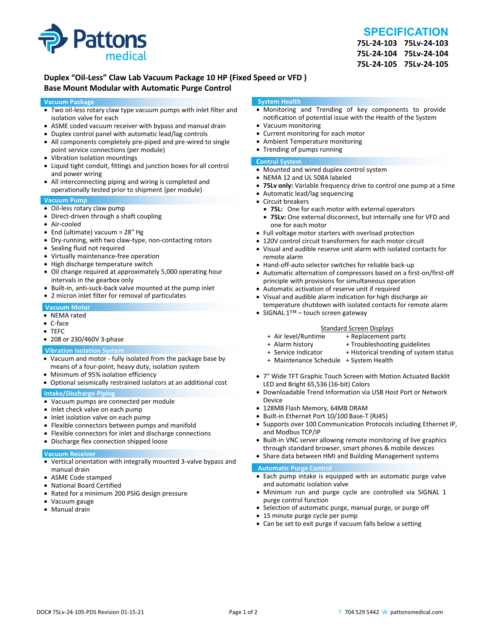

## **SPECIFICATION**

**75L‐24‐103 75Lv‐24‐103 75L‐24‐104 75Lv‐24‐104 75L‐24‐105 75Lv‐24‐105**

## **Duplex "Oil‐Less" Claw Lab Vacuum Package 10 HP (Fixed Speed or VFD ) Base Mount Modular with Automatic Purge Control**

#### **Vacuum Package**

- Two oil‐less rotary claw type vacuum pumps with inlet filter and isolation valve for each
- ASME coded vacuum receiver with bypass and manual drain
- Duplex control panel with automatic lead/lag controls
- All components completely pre-piped and pre-wired to single point service connections (per module)
- Vibration isolation mountings
- Liquid tight conduit, fittings and junction boxes for all control and power wiring
- All interconnecting piping and wiring is completed and operationally tested prior to shipment (per module)

#### **Vacuum Pump**

- Oil-less rotary claw pump
- Direct-driven through a shaft coupling
- Air‐cooled
- End (ultimate) vacuum = 28" Hg
- Dry-running, with two claw-type, non-contacting rotors
- Sealing fluid not required
- Virtually maintenance-free operation
- High discharge temperature switch
- Oil change required at approximately 5,000 operating hour intervals in the gearbox only
- Built-in, anti-suck-back valve mounted at the pump inlet
- 2 micron inlet filter for removal of particulates

#### **Vacuum Motor**

- NEMA rated
- C‐face
- TEFC
- 208 or 230/460V 3-phase

#### **Vibration Isolation System**

- Vacuum and motor ‐ fully isolated from the package base by means of a four‐point, heavy duty, isolation system
- Minimum of 95% isolation efficiency
- Optional seismically restrained isolators at an additional cost

#### **Intake/Discharge Piping**

- Vacuum pumps are connected per module
- Inlet check valve on each pump
- Inlet isolation valve on each pump
- Flexible connectors between pumps and manifold
- Flexible connectors for inlet and discharge connections
- Discharge flex connection shipped loose

#### **Vacuum Receiver**

- Vertical orientation with integrally mounted 3‐valve bypass and manual drain
- ASME Code stamped
- National Board Certified
- Rated for a minimum 200 PSIG design pressure
- Vacuum gauge
- Manual drain

#### **System Health**

- Monitoring and Trending of key components to provide notification of potential issue with the Health of the System
- Vacuum monitoring
- Current monitoring for each motor
- Ambient Temperature monitoring
- Trending of pumps running

#### **Control System**

- Mounted and wired duplex control system
- NEMA 12 and UL 508A labeled
- **75Lv only:** Variable frequency drive to control one pump at a time
- Automatic lead/lag sequencing
- Circuit breakers
- **75L:** One for each motor with external operators
- **75Lv:** One external disconnect, but internally one for VFD and one for each motor
- Full voltage motor starters with overload protection
- 120V control circuit transformers for each motor circuit
- Visual and audible reserve unit alarm with isolated contacts for remote alarm
- Hand-off-auto selector switches for reliable back-up
- Automatic alternation of compressors based on a first-on/first-off principle with provisions for simultaneous operation
- Automatic activation of reserve unit if required
- Visual and audible alarm indication for high discharge air temperature shutdown with isolated contacts for remote alarm
- SIGNAL 1™ touch screen gateway

# Standard Screen Displays<br>Air level/Runtime + Replacement p +

- + Air level/Runtime + Replacement parts
- 
- + Troubleshooting guidelines
- + Service Indicator + Historical trending of system status
- + Maintenance Schedule + System Health
- 7" Wide TFT Graphic Touch Screen with Motion Actuated Backlit LED and Bright 65,536 (16‐bit) Colors
- Downloadable Trend Information via USB Host Port or Network Device
- 128MB Flash Memory, 64MB DRAM
- Built-in Ethernet Port 10/100 Base-T (RJ45)
- Supports over 100 Communication Protocols including Ethernet IP, and Modbus TCP/IP
- Built-in VNC server allowing remote monitoring of live graphics through standard browser, smart phones & mobile devices
- Share data between HMI and Building Management systems

#### **Automatic Purge Control**

- Each pump intake is equipped with an automatic purge valve and automatic isolation valve
- Minimum run and purge cycle are controlled via SIGNAL 1 purge control function
- Selection of automatic purge, manual purge, or purge off
- 15 minute purge cycle per pump
- Can be set to exit purge if vacuum falls below a setting